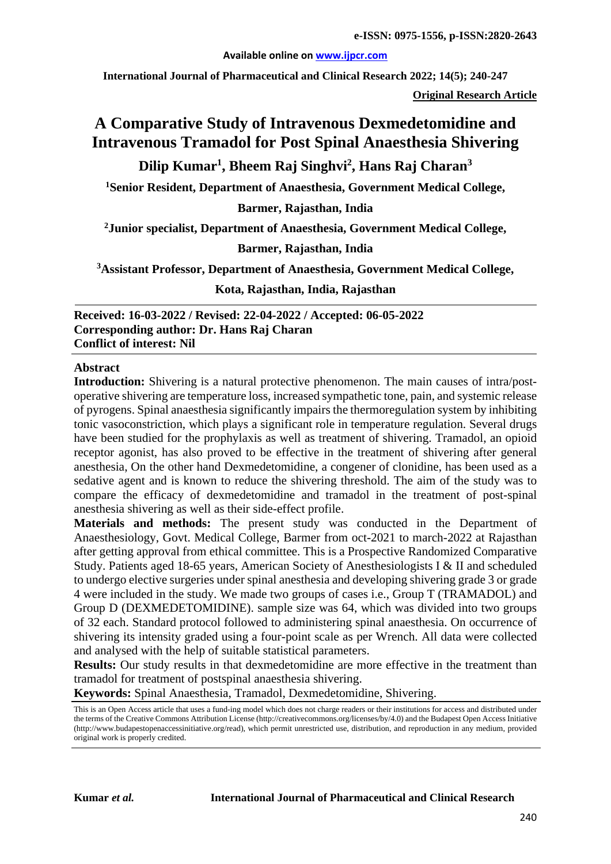#### **Available online on [www.ijpcr.com](http://www.ijpcr.com/)**

**International Journal of Pharmaceutical and Clinical Research 2022; 14(5); 240-247**

**Original Research Article**

# **A Comparative Study of Intravenous Dexmedetomidine and Intravenous Tramadol for Post Spinal Anaesthesia Shivering**

# **Dilip Kumar1 , Bheem Raj Singhvi2 , Hans Raj Charan3**

**1Senior Resident, Department of Anaesthesia, Government Medical College,**

**Barmer, Rajasthan, India**

**2Junior specialist, Department of Anaesthesia, Government Medical College,**

#### **Barmer, Rajasthan, India**

**3 Assistant Professor, Department of Anaesthesia, Government Medical College,**

**Kota, Rajasthan, India, Rajasthan**

**Received: 16-03-2022 / Revised: 22-04-2022 / Accepted: 06-05-2022 Corresponding author: Dr. Hans Raj Charan Conflict of interest: Nil**

#### **Abstract**

**Introduction:** Shivering is a natural protective phenomenon. The main causes of intra/postoperative shivering are temperature loss, increased sympathetic tone, pain, and systemic release of pyrogens. Spinal anaesthesia significantly impairs the thermoregulation system by inhibiting tonic vasoconstriction, which plays a significant role in temperature regulation. Several drugs have been studied for the prophylaxis as well as treatment of shivering. Tramadol, an opioid receptor agonist, has also proved to be effective in the treatment of shivering after general anesthesia, On the other hand Dexmedetomidine, a congener of clonidine, has been used as a sedative agent and is known to reduce the shivering threshold. The aim of the study was to compare the efficacy of dexmedetomidine and tramadol in the treatment of post-spinal anesthesia shivering as well as their side-effect profile.

**Materials and methods:** The present study was conducted in the Department of Anaesthesiology, Govt. Medical College, Barmer from oct-2021 to march-2022 at Rajasthan after getting approval from ethical committee. This is a Prospective Randomized Comparative Study. Patients aged 18-65 years, American Society of Anesthesiologists I & II and scheduled to undergo elective surgeries under spinal anesthesia and developing shivering grade 3 or grade 4 were included in the study. We made two groups of cases i.e., Group T (TRAMADOL) and Group D (DEXMEDETOMIDINE). sample size was 64, which was divided into two groups of 32 each. Standard protocol followed to administering spinal anaesthesia. On occurrence of shivering its intensity graded using a four-point scale as per Wrench. All data were collected and analysed with the help of suitable statistical parameters.

**Results:** Our study results in that dexmedetomidine are more effective in the treatment than tramadol for treatment of postspinal anaesthesia shivering.

**Keywords:** Spinal Anaesthesia, Tramadol, Dexmedetomidine, Shivering.

This is an Open Access article that uses a fund-ing model which does not charge readers or their institutions for access and distributed under the terms of the Creative Commons Attribution License (http://creativecommons.org/licenses/by/4.0) and the Budapest Open Access Initiative (http://www.budapestopenaccessinitiative.org/read), which permit unrestricted use, distribution, and reproduction in any medium, provided original work is properly credited.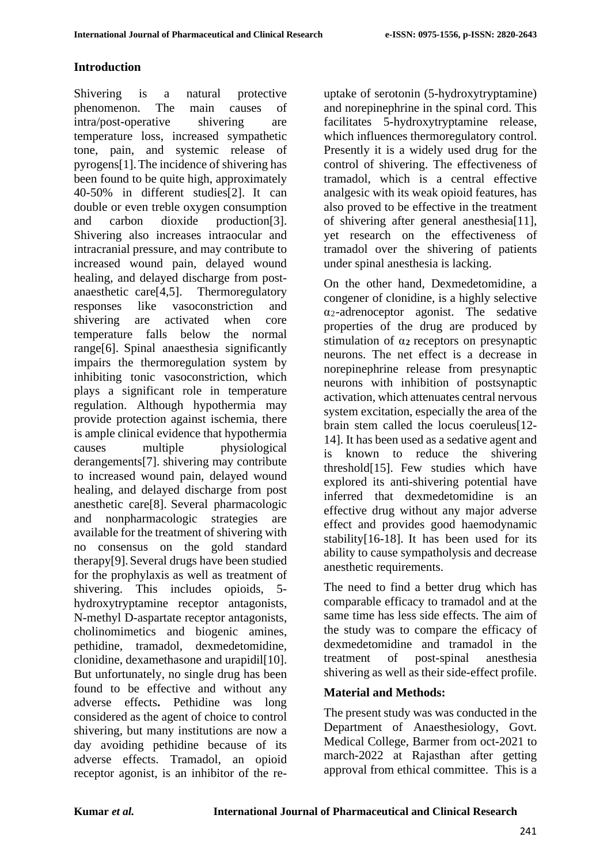### **Introduction**

Shivering is a natural protective phenomenon. The main causes of intra/post-operative shivering are temperature loss, increased sympathetic tone, pain, and systemic release of pyrogens[1].The incidence of shivering has been found to be quite high, approximately 40-50% in different studies[2]. It can double or even treble oxygen consumption and carbon dioxide production[3]. Shivering also increases intraocular and intracranial pressure, and may contribute to increased wound pain, delayed wound healing, and delayed discharge from postanaesthetic care[4,5]. Thermoregulatory responses like vasoconstriction and shivering are activated when core temperature falls below the normal range[6]. Spinal anaesthesia significantly impairs the thermoregulation system by inhibiting tonic vasoconstriction, which plays a significant role in temperature regulation. Although hypothermia may provide protection against ischemia, there is ample clinical evidence that hypothermia causes multiple physiological derangements[7]. shivering may contribute to increased wound pain, delayed wound healing, and delayed discharge from post anesthetic care[8]. Several pharmacologic and nonpharmacologic strategies are available for the treatment of shivering with no consensus on the gold standard therapy[9].Several drugs have been studied for the prophylaxis as well as treatment of shivering. This includes opioids, 5 hydroxytryptamine receptor antagonists, N-methyl D-aspartate receptor antagonists, cholinomimetics and biogenic amines, pethidine, tramadol, dexmedetomidine, clonidine, dexamethasone and urapidil[10]. But unfortunately, no single drug has been found to be effective and without any adverse effects**.** Pethidine was long considered as the agent of choice to control shivering, but many institutions are now a day avoiding pethidine because of its adverse effects. Tramadol, an opioid receptor agonist, is an inhibitor of the reuptake of serotonin (5-hydroxytryptamine) and norepinephrine in the spinal cord. This facilitates 5-hydroxytryptamine release, which influences thermoregulatory control. Presently it is a widely used drug for the control of shivering. The effectiveness of tramadol, which is a central effective analgesic with its weak opioid features, has also proved to be effective in the treatment of shivering after general anesthesia[11], yet research on the effectiveness of tramadol over the shivering of patients under spinal anesthesia is lacking.

On the other hand, Dexmedetomidine, a congener of clonidine, is a highly selective α2-adrenoceptor agonist. The sedative properties of the drug are produced by stimulation of α**2** receptors on presynaptic neurons. The net effect is a decrease in norepinephrine release from presynaptic neurons with inhibition of postsynaptic activation, which attenuates central nervous system excitation, especially the area of the brain stem called the locus coeruleus[12- 14]. It has been used as a sedative agent and is known to reduce the shivering threshold[15]. Few studies which have explored its anti-shivering potential have inferred that dexmedetomidine is an effective drug without any major adverse effect and provides good haemodynamic stability[16-18]. It has been used for its ability to cause sympatholysis and decrease anesthetic requirements.

The need to find a better drug which has comparable efficacy to tramadol and at the same time has less side effects. The aim of the study was to compare the efficacy of dexmedetomidine and tramadol in the treatment of post-spinal anesthesia shivering as well as their side-effect profile.

# **Material and Methods:**

The present study was was conducted in the Department of Anaesthesiology, Govt. Medical College, Barmer from oct-2021 to march-2022 at Rajasthan after getting approval from ethical committee. This is a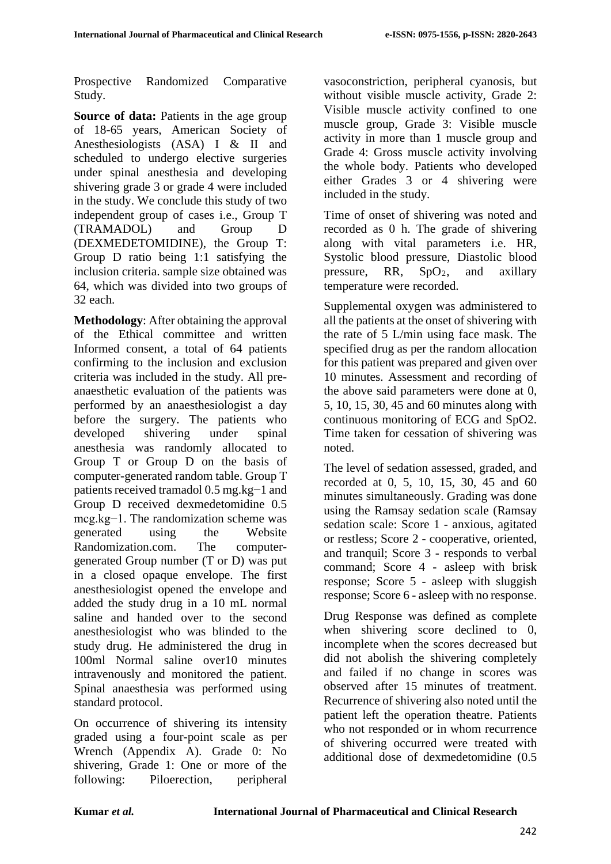Prospective Randomized Comparative Study.

**Source of data:** Patients in the age group of 18-65 years, American Society of Anesthesiologists (ASA) I & II and scheduled to undergo elective surgeries under spinal anesthesia and developing shivering grade 3 or grade 4 were included in the study. We conclude this study of two independent group of cases i.e., Group T (TRAMADOL) and Group D (DEXMEDETOMIDINE), the Group T: Group D ratio being 1:1 satisfying the inclusion criteria. sample size obtained was 64, which was divided into two groups of 32 each.

**Methodology**: After obtaining the approval of the Ethical committee and written Informed consent, a total of 64 patients confirming to the inclusion and exclusion criteria was included in the study. All preanaesthetic evaluation of the patients was performed by an anaesthesiologist a day before the surgery. The patients who developed shivering under spinal anesthesia was randomly allocated to Group T or Group D on the basis of computer-generated random table. Group T patients received tramadol 0.5 mg.kg−1 and Group D received dexmedetomidine 0.5 mcg.kg−1. The randomization scheme was generated using the Website Randomization.com. The computergenerated Group number (T or D) was put in a closed opaque envelope. The first anesthesiologist opened the envelope and added the study drug in a 10 mL normal saline and handed over to the second anesthesiologist who was blinded to the study drug. He administered the drug in 100ml Normal saline over10 minutes intravenously and monitored the patient. Spinal anaesthesia was performed using standard protocol.

On occurrence of shivering its intensity graded using a four-point scale as per Wrench (Appendix A). Grade 0: No shivering, Grade 1: One or more of the following: Piloerection, peripheral vasoconstriction, peripheral cyanosis, but without visible muscle activity, Grade 2: Visible muscle activity confined to one muscle group, Grade 3: Visible muscle activity in more than 1 muscle group and Grade 4: Gross muscle activity involving the whole body. Patients who developed either Grades 3 or 4 shivering were included in the study.

Time of onset of shivering was noted and recorded as 0 h. The grade of shivering along with vital parameters i.e. HR, Systolic blood pressure, Diastolic blood pressure, RR,  $SpO<sub>2</sub>$ , and axillary temperature were recorded.

Supplemental oxygen was administered to all the patients at the onset of shivering with the rate of 5 L/min using face mask. The specified drug as per the random allocation for this patient was prepared and given over 10 minutes. Assessment and recording of the above said parameters were done at 0, 5, 10, 15, 30, 45 and 60 minutes along with continuous monitoring of ECG and SpO2. Time taken for cessation of shivering was noted.

The level of sedation assessed, graded, and recorded at 0, 5, 10, 15, 30, 45 and 60 minutes simultaneously. Grading was done using the Ramsay sedation scale (Ramsay sedation scale: Score 1 - anxious, agitated or restless; Score 2 - cooperative, oriented, and tranquil; Score 3 - responds to verbal command; Score 4 - asleep with brisk response; Score 5 - asleep with sluggish response; Score 6 - asleep with no response.

Drug Response was defined as complete when shivering score declined to 0, incomplete when the scores decreased but did not abolish the shivering completely and failed if no change in scores was observed after 15 minutes of treatment. Recurrence of shivering also noted until the patient left the operation theatre. Patients who not responded or in whom recurrence of shivering occurred were treated with additional dose of dexmedetomidine (0.5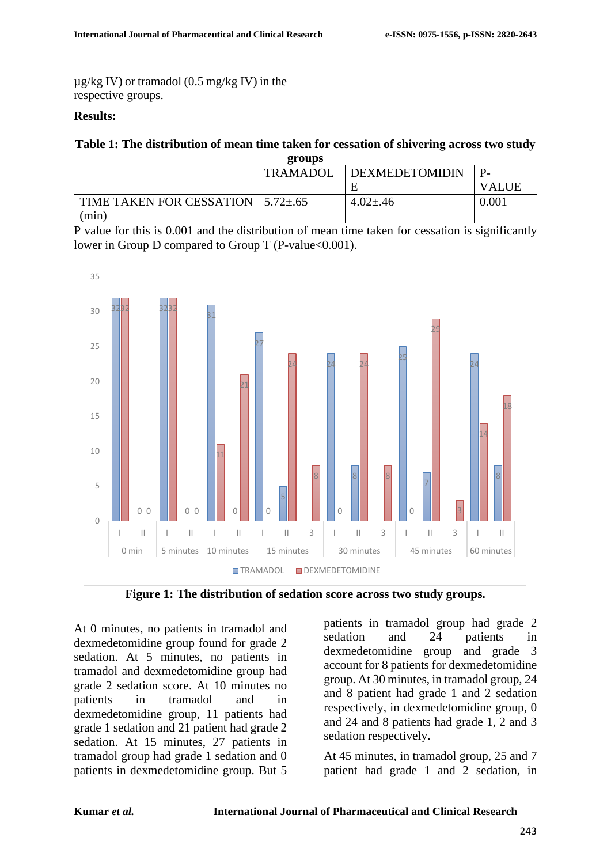µg/kg IV) or tramadol (0.5 mg/kg IV) in the respective groups.

#### **Results:**

#### **Table 1: The distribution of mean time taken for cessation of shivering across two study groups**

|                                                | ---             |                |              |
|------------------------------------------------|-----------------|----------------|--------------|
|                                                | <b>TRAMADOL</b> | DEXMEDETOMIDIN |              |
|                                                |                 |                | <b>VALUE</b> |
| TIME TAKEN FOR CESSATION $\mid$ 5.72 $\pm$ .65 |                 | $4.02 \pm .46$ | 0.001        |
| (min)                                          |                 |                |              |

P value for this is 0.001 and the distribution of mean time taken for cessation is significantly lower in Group D compared to Group T (P-value  $0.001$ ).



**Figure 1: The distribution of sedation score across two study groups.**

At 0 minutes, no patients in tramadol and dexmedetomidine group found for grade 2 sedation. At 5 minutes, no patients in tramadol and dexmedetomidine group had grade 2 sedation score. At 10 minutes no patients in tramadol and in dexmedetomidine group, 11 patients had grade 1 sedation and 21 patient had grade 2 sedation. At 15 minutes, 27 patients in tramadol group had grade 1 sedation and 0 patients in dexmedetomidine group. But 5

patients in tramadol group had grade 2 sedation and 24 patients in dexmedetomidine group and grade 3 account for 8 patients for dexmedetomidine group. At 30 minutes, in tramadol group, 24 and 8 patient had grade 1 and 2 sedation respectively, in dexmedetomidine group, 0 and 24 and 8 patients had grade 1, 2 and 3 sedation respectively.

At 45 minutes, in tramadol group, 25 and 7 patient had grade 1 and 2 sedation, in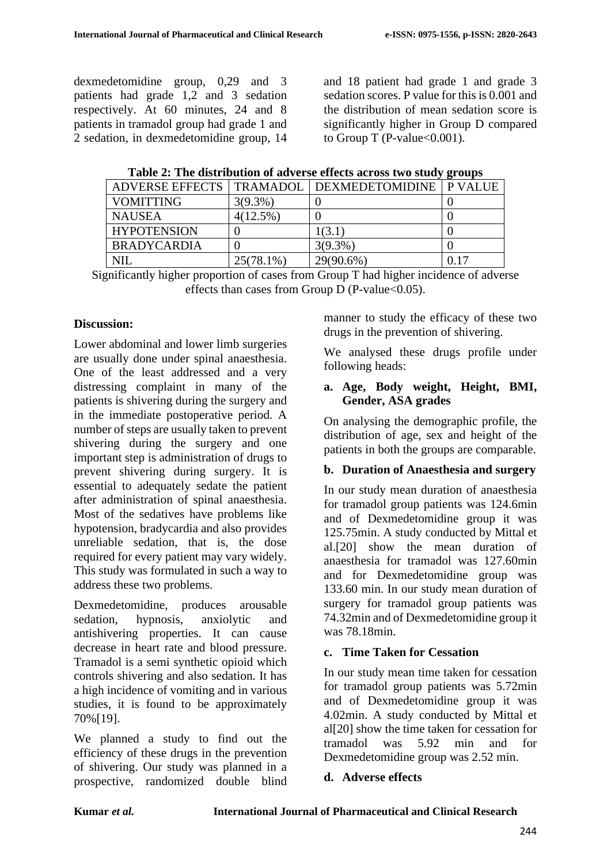dexmedetomidine group, 0,29 and 3 patients had grade 1,2 and 3 sedation respectively. At 60 minutes, 24 and 8 patients in tramadol group had grade 1 and 2 sedation, in dexmedetomidine group, 14

and 18 patient had grade 1 and grade 3 sedation scores. P value for this is 0.001 and the distribution of mean sedation score is significantly higher in Group D compared to Group T (P-value  $< 0.001$ ).

| Table 2: The distribution of adverse effects across two study groups |  |  |  |  |  |  |  |  |  |  |  |
|----------------------------------------------------------------------|--|--|--|--|--|--|--|--|--|--|--|
|----------------------------------------------------------------------|--|--|--|--|--|--|--|--|--|--|--|

|                    |              | ADVERSE EFFECTS   TRAMADOL   DEXMEDETOMIDINE   P VALUE |  |
|--------------------|--------------|--------------------------------------------------------|--|
| <b>VOMITTING</b>   | $3(9.3\%)$   |                                                        |  |
| <b>NAUSEA</b>      | $4(12.5\%)$  |                                                        |  |
| <b>HYPOTENSION</b> |              | 1(3.1)                                                 |  |
| <b>BRADYCARDIA</b> |              | $3(9.3\%)$                                             |  |
| NH                 | $25(78.1\%)$ | 29(90.6%)                                              |  |

Significantly higher proportion of cases from Group T had higher incidence of adverse effects than cases from Group D (P-value  $< 0.05$ ).

### **Discussion:**

Lower abdominal and lower limb surgeries are usually done under spinal anaesthesia. One of the least addressed and a very distressing complaint in many of the patients is shivering during the surgery and in the immediate postoperative period. A number of steps are usually taken to prevent shivering during the surgery and one important step is administration of drugs to prevent shivering during surgery. It is essential to adequately sedate the patient after administration of spinal anaesthesia. Most of the sedatives have problems like hypotension, bradycardia and also provides unreliable sedation, that is, the dose required for every patient may vary widely. This study was formulated in such a way to address these two problems.

Dexmedetomidine, produces arousable sedation, hypnosis, anxiolytic and antishivering properties. It can cause decrease in heart rate and blood pressure. Tramadol is a semi synthetic opioid which controls shivering and also sedation. It has a high incidence of vomiting and in various studies, it is found to be approximately 70%[19].

We planned a study to find out the efficiency of these drugs in the prevention of shivering. Our study was planned in a prospective, randomized double blind manner to study the efficacy of these two drugs in the prevention of shivering.

We analysed these drugs profile under following heads:

#### **a. Age, Body weight, Height, BMI, Gender, ASA grades**

On analysing the demographic profile, the distribution of age, sex and height of the patients in both the groups are comparable.

### **b. Duration of Anaesthesia and surgery**

In our study mean duration of anaesthesia for tramadol group patients was 124.6min and of Dexmedetomidine group it was 125.75min. A study conducted by Mittal et al.[20] show the mean duration of anaesthesia for tramadol was 127.60min and for Dexmedetomidine group was 133.60 min. In our study mean duration of surgery for tramadol group patients was 74.32min and of Dexmedetomidine group it was 78.18min.

### **c. Time Taken for Cessation**

In our study mean time taken for cessation for tramadol group patients was 5.72min and of Dexmedetomidine group it was 4.02min. A study conducted by Mittal et al[20] show the time taken for cessation for tramadol was 5.92 min and for Dexmedetomidine group was 2.52 min.

### **d. Adverse effects**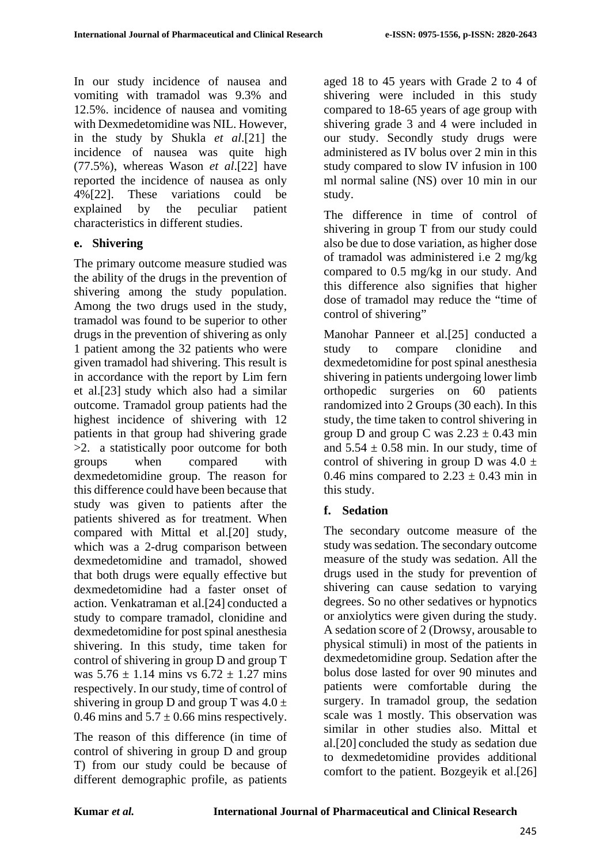In our study incidence of nausea and vomiting with tramadol was 9.3% and 12.5%. incidence of nausea and vomiting with Dexmedetomidine was NIL. However, in the study by Shukla *et al*.[21] the incidence of nausea was quite high (77.5%), whereas Wason *et al*.[22] have reported the incidence of nausea as only 4%[22]. These variations could be explained by the peculiar patient characteristics in different studies.

### **e. Shivering**

The primary outcome measure studied was the ability of the drugs in the prevention of shivering among the study population. Among the two drugs used in the study, tramadol was found to be superior to other drugs in the prevention of shivering as only 1 patient among the 32 patients who were given tramadol had shivering. This result is in accordance with the report by Lim fern et al.[23] study which also had a similar outcome. Tramadol group patients had the highest incidence of shivering with 12 patients in that group had shivering grade >2. a statistically poor outcome for both groups when compared with dexmedetomidine group. The reason for this difference could have been because that study was given to patients after the patients shivered as for treatment. When compared with Mittal et al.[20] study, which was a 2-drug comparison between dexmedetomidine and tramadol, showed that both drugs were equally effective but dexmedetomidine had a faster onset of action. Venkatraman et al.[24] conducted a study to compare tramadol, clonidine and dexmedetomidine for post spinal anesthesia shivering. In this study, time taken for control of shivering in group D and group T was  $5.76 \pm 1.14$  mins vs  $6.72 \pm 1.27$  mins respectively. In our study, time of control of shivering in group D and group T was  $4.0 \pm$ 0.46 mins and  $5.7 \pm 0.66$  mins respectively.

The reason of this difference (in time of control of shivering in group D and group T) from our study could be because of different demographic profile, as patients aged 18 to 45 years with Grade 2 to 4 of shivering were included in this study compared to 18-65 years of age group with shivering grade 3 and 4 were included in our study. Secondly study drugs were administered as IV bolus over 2 min in this study compared to slow IV infusion in 100 ml normal saline (NS) over 10 min in our study.

The difference in time of control of shivering in group T from our study could also be due to dose variation, as higher dose of tramadol was administered i.e 2 mg/kg compared to 0.5 mg/kg in our study. And this difference also signifies that higher dose of tramadol may reduce the "time of control of shivering"

Manohar Panneer et al.[25] conducted a study to compare clonidine and dexmedetomidine for post spinal anesthesia shivering in patients undergoing lower limb orthopedic surgeries on 60 patients randomized into 2 Groups (30 each). In this study, the time taken to control shivering in group D and group C was  $2.23 \pm 0.43$  min and  $5.54 \pm 0.58$  min. In our study, time of control of shivering in group D was  $4.0 \pm$ 0.46 mins compared to  $2.23 \pm 0.43$  min in this study.

# **f. Sedation**

The secondary outcome measure of the study was sedation. The secondary outcome measure of the study was sedation. All the drugs used in the study for prevention of shivering can cause sedation to varying degrees. So no other sedatives or hypnotics or anxiolytics were given during the study. A sedation score of 2 (Drowsy, arousable to physical stimuli) in most of the patients in dexmedetomidine group. Sedation after the bolus dose lasted for over 90 minutes and patients were comfortable during the surgery. In tramadol group, the sedation scale was 1 mostly. This observation was similar in other studies also. Mittal et al.[20] concluded the study as sedation due to dexmedetomidine provides additional comfort to the patient. Bozgeyik et al.[26]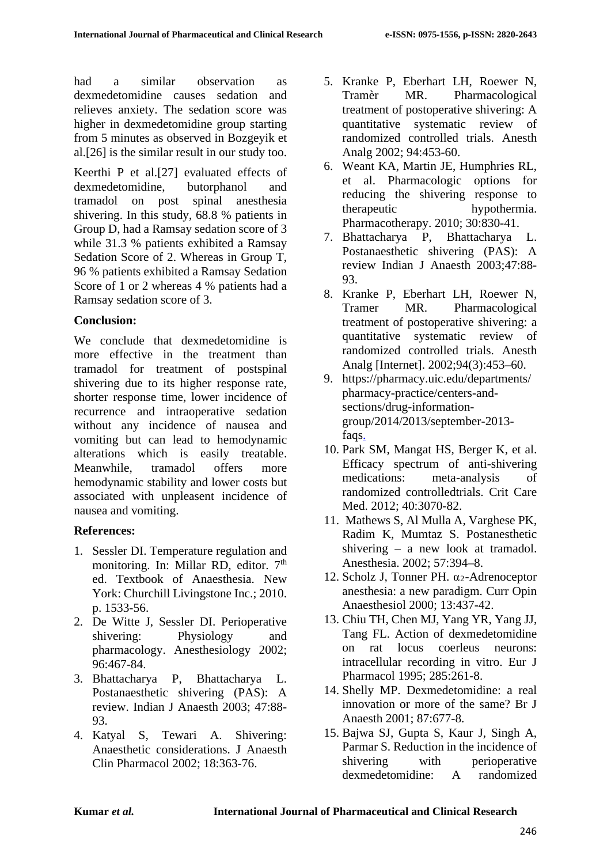had a similar observation as dexmedetomidine causes sedation and relieves anxiety. The sedation score was higher in dexmedetomidine group starting from 5 minutes as observed in Bozgeyik et al.[26] is the similar result in our study too.

Keerthi P et al.[27] evaluated effects of dexmedetomidine, butorphanol and tramadol on post spinal anesthesia shivering. In this study, 68.8 % patients in Group D, had a Ramsay sedation score of 3 while 31.3 % patients exhibited a Ramsay Sedation Score of 2. Whereas in Group T, 96 % patients exhibited a Ramsay Sedation Score of 1 or 2 whereas 4 % patients had a Ramsay sedation score of 3.

## **Conclusion:**

We conclude that dexmedetomidine is more effective in the treatment than tramadol for treatment of postspinal shivering due to its higher response rate, shorter response time, lower incidence of recurrence and intraoperative sedation without any incidence of nausea and vomiting but can lead to hemodynamic alterations which is easily treatable. Meanwhile, tramadol offers more hemodynamic stability and lower costs but associated with unpleasent incidence of nausea and vomiting.

# **References:**

- 1. Sessler DI. Temperature regulation and monitoring. In: Millar RD, editor. 7<sup>th</sup> ed. Textbook of Anaesthesia. New York: Churchill Livingstone Inc.; 2010. p. 1533-56.
- 2. De Witte J, Sessler DI. Perioperative shivering: Physiology and pharmacology. Anesthesiology 2002; 96:467-84.
- 3. Bhattacharya P, Bhattacharya L. Postanaesthetic shivering (PAS): A review. Indian J Anaesth 2003; 47:88- 93.
- 4. Katyal S, Tewari A. Shivering: Anaesthetic considerations. J Anaesth Clin Pharmacol 2002; 18:363-76.
- 5. Kranke P, Eberhart LH, Roewer N, Tramèr MR. Pharmacological treatment of postoperative shivering: A quantitative systematic review of randomized controlled trials. Anesth Analg 2002; 94:453-60.
- 6. Weant KA, Martin JE, Humphries RL, et al. Pharmacologic options for reducing the shivering response to therapeutic hypothermia. Pharmacotherapy. 2010; 30:830-41.
- 7. Bhattacharya P, Bhattacharya L. Postanaesthetic shivering (PAS): A review Indian J Anaesth 2003;47:88- 93.
- 8. Kranke P, Eberhart LH, Roewer N, Tramer MR. Pharmacological treatment of postoperative shivering: a quantitative systematic review of randomized controlled trials. Anesth Analg [Internet]. 2002;94(3):453–60.
- 9. https://pharmacy.uic.edu/departments/ pharmacy-practice/centers-andsections/drug-informationgroup/2014/2013/september-2013 faqs.
- 10. Park SM, Mangat HS, Berger K, et al. Efficacy spectrum of anti-shivering medications: meta-analysis of randomized controlledtrials. Crit Care Med. 2012; 40:3070-82.
- 11. Mathews S, Al Mulla A, Varghese PK, Radim K, Mumtaz S. Postanesthetic shivering – a new look at tramadol. Anesthesia. 2002; 57:394–8.
- 12. Scholz J, Tonner PH. α2-Adrenoceptor anesthesia: a new paradigm. Curr Opin Anaesthesiol 2000; 13:437-42.
- 13. Chiu TH, Chen MJ, Yang YR, Yang JJ, Tang FL. Action of dexmedetomidine on rat locus coerleus neurons: intracellular recording in vitro. Eur J Pharmacol 1995; 285:261-8.
- 14. Shelly MP. Dexmedetomidine: a real innovation or more of the same? Br J Anaesth 2001; 87:677-8.
- 15. Bajwa SJ, Gupta S, Kaur J, Singh A, Parmar S. Reduction in the incidence of shivering with perioperative dexmedetomidine: A randomized